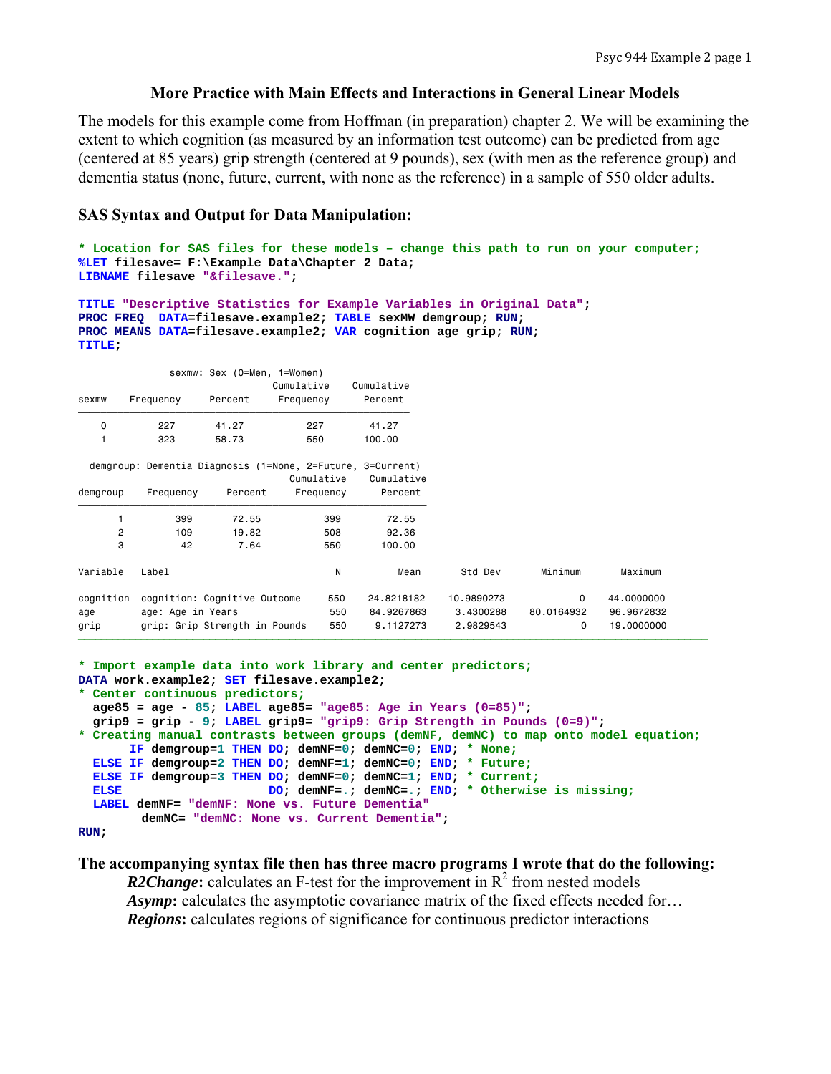# **More Practice with Main Effects and Interactions in General Linear Models**

The models for this example come from Hoffman (in preparation) chapter 2. We will be examining the extent to which cognition (as measured by an information test outcome) can be predicted from age (centered at 85 years) grip strength (centered at 9 pounds), sex (with men as the reference group) and dementia status (none, future, current, with none as the reference) in a sample of 550 older adults.

# **SAS Syntax and Output for Data Manipulation:**

```
* Location for SAS files for these models – change this path to run on your computer;
%LET filesave= F:\Example Data\Chapter 2 Data; 
LIBNAME filesave "&filesave.";
```

```
TITLE "Descriptive Statistics for Example Variables in Original Data"; 
PROC FREQ DATA=filesave.example2; TABLE sexMW demgroup; RUN; 
PROC MEANS DATA=filesave.example2; VAR cognition age grip; RUN; 
TITLE;
```

|                |                   | sexmw: Sex (O=Men, 1=Women)   |                                                            |            |            |             |            |
|----------------|-------------------|-------------------------------|------------------------------------------------------------|------------|------------|-------------|------------|
|                |                   |                               | Cumulative                                                 | Cumulative |            |             |            |
| sexmw          | Frequency         | Percent                       | Frequency                                                  | Percent    |            |             |            |
| 0              | 227               | 41.27                         | 227                                                        | 41.27      |            |             |            |
|                | 323               | 58.73                         | 550                                                        | 100.00     |            |             |            |
|                |                   |                               | demgroup: Dementia Diagnosis (1=None, 2=Future, 3=Current) |            |            |             |            |
|                |                   |                               | Cumulative                                                 | Cumulative |            |             |            |
| demgroup       | Frequency         | Percent                       | Frequency                                                  | Percent    |            |             |            |
|                | 399               | 72.55                         | 399                                                        | 72.55      |            |             |            |
| $\overline{2}$ | 109               | 19.82                         | 508                                                        | 92.36      |            |             |            |
| 3              | 42                | 7.64                          | 550                                                        | 100.00     |            |             |            |
| Variable       | Label             |                               | N                                                          | Mean       | Std Dev    | Minimum     | Maximum    |
| cognition      |                   | cognition: Cognitive Outcome  | 550                                                        | 24.8218182 | 10.9890273 | $\mathbf 0$ | 44.0000000 |
| age            | age: Age in Years |                               | 550                                                        | 84.9267863 | 3.4300288  | 80,0164932  | 96,9672832 |
| grip           |                   | grip: Grip Strength in Pounds | 550                                                        | 9.1127273  | 2.9829543  | 0           | 19.0000000 |

```
* Import example data into work library and center predictors;
DATA work.example2; SET filesave.example2; 
* Center continuous predictors;
  age85 = age - 85; LABEL age85= "age85: Age in Years (0=85)"; 
  grip9 = grip - 9; LABEL grip9= "grip9: Grip Strength in Pounds (0=9)"; 
* Creating manual contrasts between groups (demNF, demNC) to map onto model equation;
       IF demgroup=1 THEN DO; demNF=0; demNC=0; END; * None;
  ELSE IF demgroup=2 THEN DO; demNF=1; demNC=0; END; * Future;
  ELSE IF demgroup=3 THEN DO; demNF=0; demNC=1; END; * Current;
  ELSE DO; demNF=.; demNC=.; END; * Otherwise is missing; 
  LABEL demNF= "demNF: None vs. Future Dementia"
         demNC= "demNC: None vs. Current Dementia"; 
RUN;
```
#### **The accompanying syntax file then has three macro programs I wrote that do the following:**

*R2Change*: calculates an F-test for the improvement in  $R^2$  from nested models *Asymp*: calculates the asymptotic covariance matrix of the fixed effects needed for... *Regions***:** calculates regions of significance for continuous predictor interactions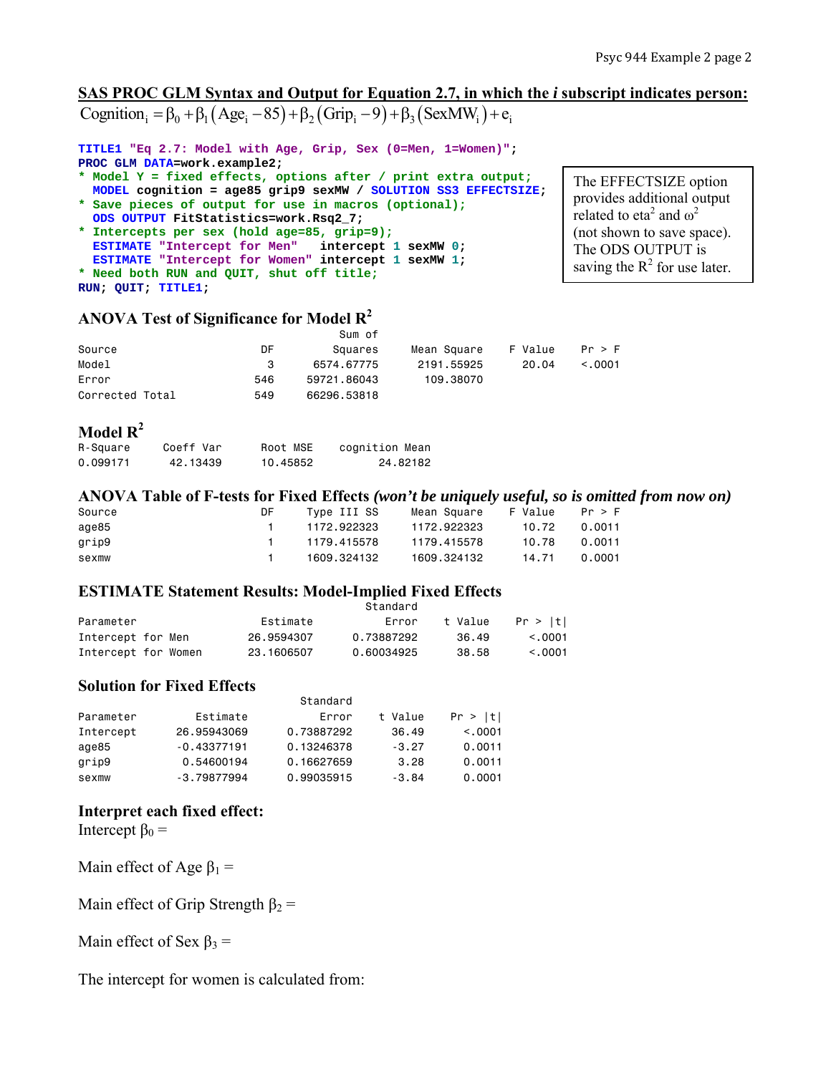The EFFECTSIZE option provides additional output related to eta<sup>2</sup> and  $\omega^2$ (not shown to save space). The ODS OUTPUT is saving the  $R^2$  for use later.

# **SAS PROC GLM Syntax and Output for Equation 2.7, in which the** *i* **subscript indicates person:** Cognition  $\beta_0 = \beta_0 + \beta_1 (Age_i - 85) + \beta_2 (Grip_i - 9) + \beta_3 (SexMW_i) + e_i$

**TITLE1 "Eq 2.7: Model with Age, Grip, Sex (0=Men, 1=Women)"; PROC GLM DATA=work.example2;** 

- **\* Model Y = fixed effects, options after / print extra output; MODEL cognition = age85 grip9 sexMW / SOLUTION SS3 EFFECTSIZE;**
- **\* Save pieces of output for use in macros (optional);**
- **ODS OUTPUT FitStatistics=work.Rsq2\_7; \* Intercepts per sex (hold age=85, grip=9);**

```
 ESTIMATE "Intercept for Men" intercept 1 sexMW 0; 
  ESTIMATE "Intercept for Women" intercept 1 sexMW 1; 
* Need both RUN and QUIT, shut off title;
```
**RUN; QUIT; TITLE1;** 

# **ANOVA Test of Significance for Model R2**

|                 |     | Sum of      |             |         |         |
|-----------------|-----|-------------|-------------|---------|---------|
| Source          | DF  | Squares     | Mean Square | F Value | Pr > F  |
| Model           | 3   | 6574.67775  | 2191.55925  | 20.04   | < 0.001 |
| Error           | 546 | 59721.86043 | 109.38070   |         |         |
| Corrected Total | 549 | 66296.53818 |             |         |         |

# **Model R2**

| R-Square | Coeff Var | Root MSE | cognition Mean |
|----------|-----------|----------|----------------|
| 0.099171 | 42.13439  | 10.45852 | 24.82182       |

### **ANOVA Table of F-tests for Fixed Effects** *(won't be uniquely useful, so is omitted from now on)*

| Source | DF | Type III SS | Mean Square | F Value      Pr > F |        |
|--------|----|-------------|-------------|---------------------|--------|
| age85  |    | 1172.922323 | 1172.922323 | 10.72               | 0.0011 |
| grip9  |    | 1179.415578 | 1179.415578 | 10.78               | 0.0011 |
| sexmw  |    | 1609.324132 | 1609.324132 | 14.71               | 0.0001 |

# **ESTIMATE Statement Results: Model-Implied Fixed Effects**

|                     |            | Standard   |         |              |
|---------------------|------------|------------|---------|--------------|
| Parameter           | Estimate   | Error      | t Value | Pr >  t      |
| Intercept for Men   | 26.9594307 | 0.73887292 | 36.49   | $\leq$ .0001 |
| Intercept for Women | 23.1606507 | 0.60034925 | 38.58   | < 0.0001     |

# **Solution for Fixed Effects**

|           |               | Standard   |         |          |
|-----------|---------------|------------|---------|----------|
| Parameter | Estimate      | Error      | t Value | Pr >  t  |
| Intercept | 26.95943069   | 0.73887292 | 36.49   | < 0.0001 |
| age85     | $-0.43377191$ | 0.13246378 | $-3.27$ | 0.0011   |
| grip9     | 0.54600194    | 0.16627659 | 3.28    | 0.0011   |
| sexmw     | $-3.79877994$ | 0.99035915 | $-3.84$ | 0.0001   |

# **Interpret each fixed effect:**

Intercept  $β_0 =$ 

Main effect of Age  $\beta_1$  =

Main effect of Grip Strength  $\beta_2$  =

Main effect of Sex  $\beta_3$  =

The intercept for women is calculated from: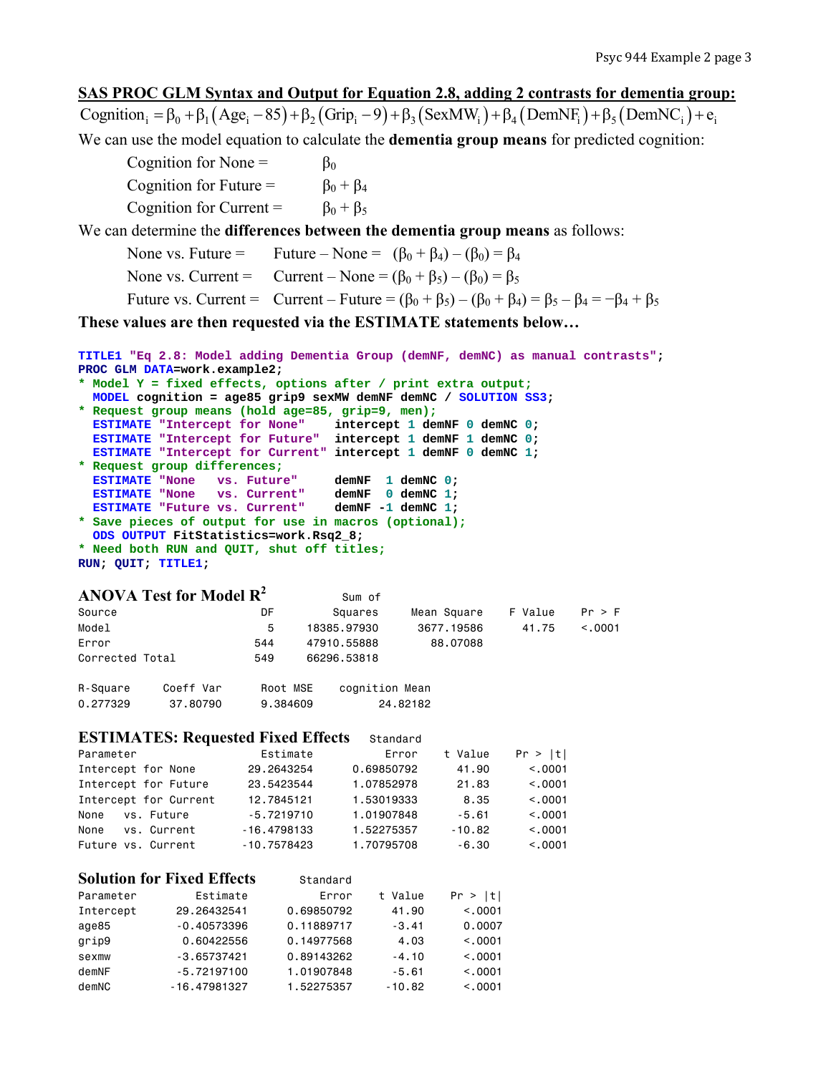# **SAS PROC GLM Syntax and Output for Equation 2.8, adding 2 contrasts for dementia group:**

Cognition  $=\beta_0 + \beta_1 (Age_i - 85) + \beta_2 (Grip_i - 9) + \beta_3 (SexMW_i) + \beta_4 (DemNF_i) + \beta_5 (DemNC_i) + e_i$ We can use the model equation to calculate the **dementia group means** for predicted cognition:

Cognition for None =  $\beta_0$ Cognition for Future =  $\beta_0 + \beta_4$ Cognition for Current =  $\beta_0 + \beta_5$ We can determine the **differences between the dementia group means** as follows: None vs. Future = Future – None =  $(\beta_0 + \beta_4) - (\beta_0) = \beta_4$ None vs. Current = Current – None =  $(\beta_0 + \beta_5) - (\beta_0) = \beta_5$ Future vs. Current = Current – Future =  $(\beta_0 + \beta_5) - (\beta_0 + \beta_4) = \beta_5 - \beta_4 = -\beta_4 + \beta_5$ 

**These values are then requested via the ESTIMATE statements below…** 

```
TITLE1 "Eq 2.8: Model adding Dementia Group (demNF, demNC) as manual contrasts"; 
PROC GLM DATA=work.example2; 
* Model Y = fixed effects, options after / print extra output;
  MODEL cognition = age85 grip9 sexMW demNF demNC / SOLUTION SS3; 
* Request group means (hold age=85, grip=9, men);
```

```
 ESTIMATE "Intercept for None" intercept 1 demNF 0 demNC 0; 
  ESTIMATE "Intercept for Future" intercept 1 demNF 1 demNC 0; 
  ESTIMATE "Intercept for Current" intercept 1 demNF 0 demNC 1; 
* Request group differences;
  ESTIMATE "None vs. Future" demNF 1 demNC 0; 
 ESTIMATE "None vs. Current" demNF 0 demNC 1; 
 ESTIMATE "Future vs. Current" demNF -1 demNC 1; 
* Save pieces of output for use in macros (optional);
```
 **ODS OUTPUT FitStatistics=work.Rsq2\_8; \* Need both RUN and QUIT, shut off titles; RUN; QUIT; TITLE1;** 

#### **ANOVA Test for Model**  $\mathbb{R}^2$  Sum of

| Source          |           | DF       | Squares        | Mean Square | F Value | Pr > F       |
|-----------------|-----------|----------|----------------|-------------|---------|--------------|
| Model           |           | 5        | 18385.97930    | 3677.19586  | 41.75   | $\leq$ .0001 |
| Error           |           | 544      | 47910.55888    | 88,07088    |         |              |
| Corrected Total |           | 549      | 66296.53818    |             |         |              |
| R-Square        | Coeff Var | Root MSF | cognition Mean |             |         |              |

| $\cdots$ oqual o |          |          | $50.911 + 12011$ modif |
|------------------|----------|----------|------------------------|
| 0.277329         | 37.80790 | 9.384609 | 24.82182               |

#### **ESTIMATES: Requested Fixed Effects** Standard

| Parameter             | Estimate      | Error      | t Value  | Pr >  t |
|-----------------------|---------------|------------|----------|---------|
| Intercept for None    | 29,2643254    | 0.69850792 | 41.90    | < 0.001 |
| Intercept for Future  | 23.5423544    | 1.07852978 | 21.83    | < 0.001 |
| Intercept for Current | 12,7845121    | 1.53019333 | 8.35     | < 0.001 |
| vs. Future<br>None    | $-5.7219710$  | 1.01907848 | $-5.61$  | < 0.001 |
| vs. Current<br>None   | $-16.4798133$ | 1.52275357 | $-10.82$ | < 0.001 |
| Future vs. Current    | $-10.7578423$ | 1.70795708 | $-6.30$  | < 0.001 |

# **Solution for Fixed Effects** Standard

| Parameter | Estimate       | Error      | t Value  | Pr >  t  |
|-----------|----------------|------------|----------|----------|
| Intercept | 29,26432541    | 0.69850792 | 41.90    | < 0.0001 |
| age85     | $-0.40573396$  | 0.11889717 | $-3.41$  | 0.0007   |
| grip9     | 0.60422556     | 0.14977568 | 4.03     | < 0.0001 |
| sexmw     | $-3.65737421$  | 0.89143262 | $-4.10$  | < 0.0001 |
| demNF     | $-5.72197100$  | 1.01907848 | $-5.61$  | < 0.0001 |
| demNC     | $-16.47981327$ | 1.52275357 | $-10.82$ | < 0.0001 |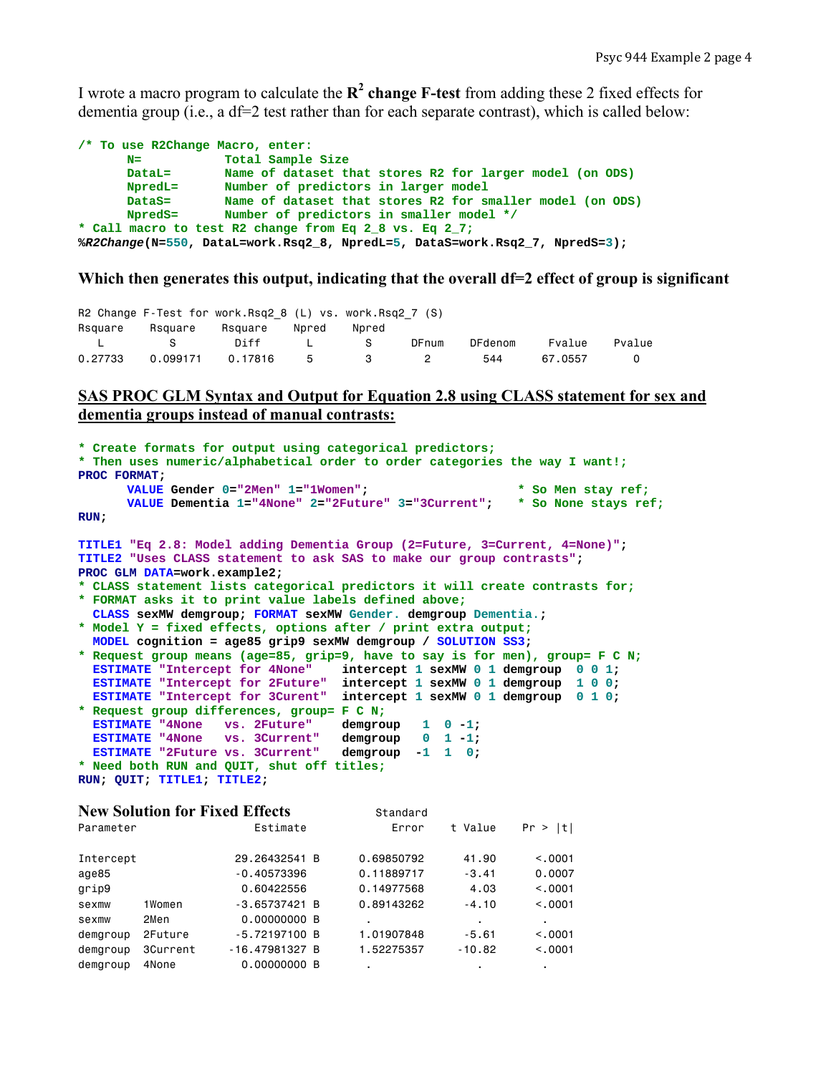I wrote a macro program to calculate the  $\mathbb{R}^2$  change **F-test** from adding these 2 fixed effects for dementia group (i.e., a df=2 test rather than for each separate contrast), which is called below:

| /* To use R2Change Macro, enter:                                            |                                                           |  |  |  |  |
|-----------------------------------------------------------------------------|-----------------------------------------------------------|--|--|--|--|
| $N =$                                                                       | Total Sample Size                                         |  |  |  |  |
| $DataI =$                                                                   | Name of dataset that stores R2 for larger model (on ODS)  |  |  |  |  |
| NpredL=                                                                     | Number of predictors in larger model                      |  |  |  |  |
| $\mathtt{Datas}$ =                                                          | Name of dataset that stores R2 for smaller model (on ODS) |  |  |  |  |
| <b>NpredS=</b>                                                              | Number of predictors in smaller model */                  |  |  |  |  |
|                                                                             | * Call macro to test R2 change from Eq 2 8 vs. Eq 2 7;    |  |  |  |  |
| %R2Change(N=550, DataL=work.Rsq2_8, NpredL=5, DataS=work.Rsq2_7, NpredS=3); |                                                           |  |  |  |  |

#### Which then generates this output, indicating that the overall df=2 effect of group is significant

|         |                   | R2 Change F-Test for work. Rsq2 8 $(L)$ vs. work. Rsq2 7 $(S)$ |          |          |         |         |        |
|---------|-------------------|----------------------------------------------------------------|----------|----------|---------|---------|--------|
|         |                   | Rsquare Rsquare Rsquare Npred                                  | Npred    |          |         |         |        |
|         | <b>Example 18</b> | Diff L S                                                       |          | DFnum    | DFdenom | Fvalue  | Pvalue |
| 0.27733 |                   |                                                                | $\sim$ 3 | $\sim$ 2 | 544     | 67.0557 |        |

# **SAS PROC GLM Syntax and Output for Equation 2.8 using CLASS statement for sex and dementia groups instead of manual contrasts:**

```
* Create formats for output using categorical predictors;
* Then uses numeric/alphabetical order to order categories the way I want!;
PROC FORMAT; 
      VALUE Gender 0="2Men" 1="1Women"; * So Men stay ref;
      VALUE Dementia 1="4None" 2="2Future" 3="3Current"; * So None stays ref;
RUN; 
TITLE1 "Eq 2.8: Model adding Dementia Group (2=Future, 3=Current, 4=None)"; 
TITLE2 "Uses CLASS statement to ask SAS to make our group contrasts"; 
PROC GLM DATA=work.example2; 
* CLASS statement lists categorical predictors it will create contrasts for;
* FORMAT asks it to print value labels defined above;
  CLASS sexMW demgroup; FORMAT sexMW Gender. demgroup Dementia.; 
* Model Y = fixed effects, options after / print extra output;
  MODEL cognition = age85 grip9 sexMW demgroup / SOLUTION SS3; 
* Request group means (age=85, grip=9, have to say is for men), group= F C N;
  ESTIMATE "Intercept for 4None" intercept 1 sexMW 0 1 demgroup 0 0 1; 
 ESTIMATE "Intercept for 2Future" intercept 1 sexMW 0 1 demgroup 1 0 0; 
 ESTIMATE "Intercept for 3Curent" intercept 1 sexMW 0 1 demgroup 0 1 0; 
* Request group differences, group= F C N;
 ESTIMATE "4None vs. 2Future" demgroup 1 0-1;<br>ESTIMATE "4None vs. 3Current" demgroup 0 1-1;
 ESTIMATE "4None vs. 3Current" demgroup 0 1 -1; 
 ESTIMATE "2Future vs. 3Current" demgroup -1 1 0; 
* Need both RUN and QUIT, shut off titles;
RUN; QUIT; TITLE1; TITLE2;
```

|           |          | <b>New Solution for Fixed Effects</b> | Standard   |          |          |
|-----------|----------|---------------------------------------|------------|----------|----------|
| Parameter |          | Estimate                              | Error      | t Value  | Pr >  t  |
| Intercept |          | 29.26432541 B                         | 0.69850792 | 41.90    | < 0.001  |
| age85     |          | $-0.40573396$                         | 0.11889717 | $-3.41$  | 0.0007   |
| grip9     |          | 0.60422556                            | 0.14977568 | 4.03     | < 0.001  |
| sexmw     | 1Women   | $-3.65737421$ B                       | 0.89143262 | $-4.10$  | < 0.001  |
| sexmw     | 2Men     | 0.00000000 B                          |            |          |          |
| demgroup  | 2Future  | $-5.72197100$ B                       | 1.01907848 | $-5.61$  | < 0.0001 |
| demgroup  | 3Current | $-16.47981327B$                       | 1.52275357 | $-10.82$ | < 0.001  |
| demgroup  | 4None    | 0.00000000 B                          | ٠          |          | ٠        |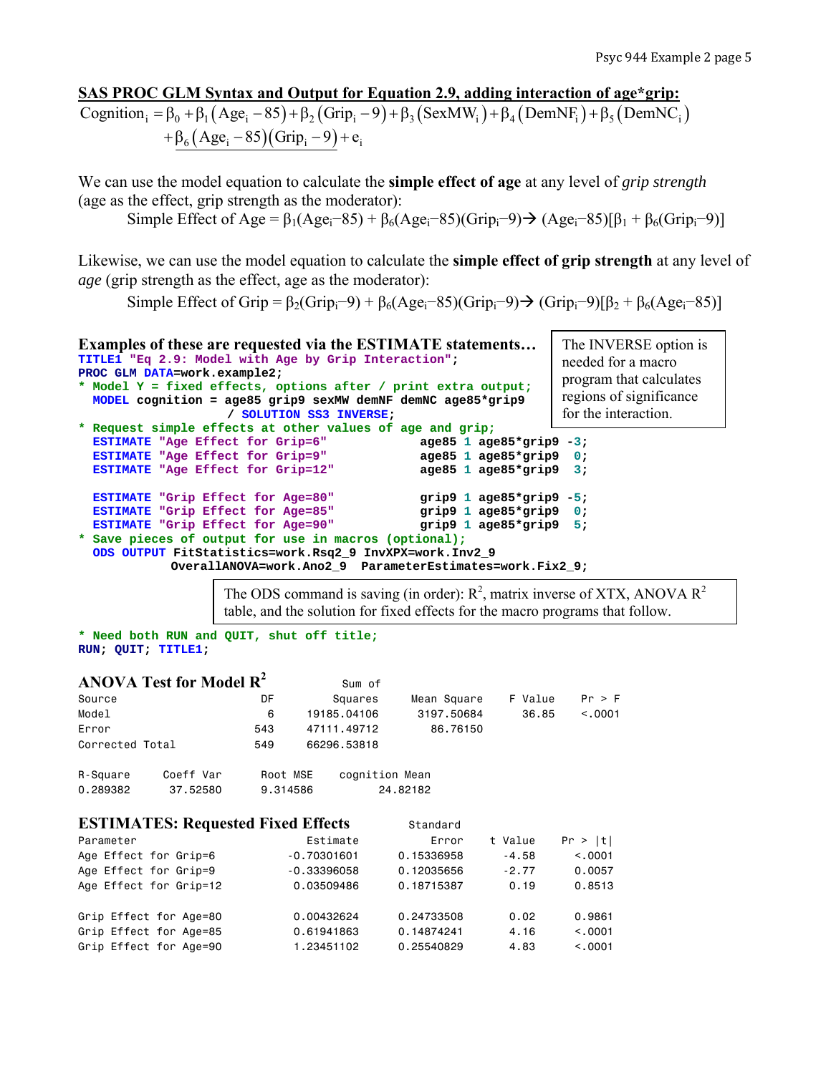# **SAS PROC GLM Syntax and Output for Equation 2.9, adding interaction of age\*grip:**

Cognition<sub>i</sub> =  $\beta_0$  +  $\beta_1$  (Age<sub>i</sub> - 85) +  $\beta_2$  (Grip<sub>i</sub> - 9) +  $\beta_3$  (SexMW<sub>i</sub>) +  $\beta_4$  (DemNF<sub>i</sub>) +  $\beta_5$  (DemNC<sub>i</sub>)  $+\beta_6(Age_i - 85)(Grip_i - 9) + e_i$ 

We can use the model equation to calculate the **simple effect of age** at any level of *grip strength* (age as the effect, grip strength as the moderator):

Simple Effect of Age =  $\beta_1(Age_i-85) + \beta_6(Age_i-85)(Grip_i-9) \rightarrow (Age_i-85)[\beta_1 + \beta_6(Grip_i-9)]$ 

Likewise, we can use the model equation to calculate the **simple effect of grip strength** at any level of *age* (grip strength as the effect, age as the moderator):

Simple Effect of Grip =  $\beta_2$ (Grip<sub>i</sub>-9) +  $\beta_6$ (Age<sub>i</sub>-85)(Grip<sub>i</sub>-9) → (Grip<sub>i</sub>-9)[ $\beta_2$  +  $\beta_6$ (Age<sub>i</sub>-85)]

```
Examples of these are requested via the ESTIMATE statements… 
TITLE1 "Eq 2.9: Model with Age by Grip Interaction"; 
PROC GLM DATA=work.example2; 
* Model Y = fixed effects, options after / print extra output;
   MODEL cognition = age85 grip9 sexMW demNF demNC age85*grip9 
                       / SOLUTION SS3 INVERSE; 
* Request simple effects at other values of age and grip;
  ESTIMATE "Age Effect for Grip=6" age85 1 age85*grip9 -3;<br>
ESTIMATE "Age Effect for Grip=9" age85 1 age85*grip9 0;
  ESTIMATE "Age Effect for Grip=9" age85 1 age85*grip9 0;<br>
ESTIMATE "Age Effect for Grip=12" age85 1 age85*grip9 3;
  ESTIMATE "Age Effect for Grip=12"
   ESTIMATE "Grip Effect for Age=80" grip9 1 age85*grip9 -5; 
   ESTIMATE "Grip Effect for Age=85" grip9 1 age85*grip9 0; 
   ESTIMATE "Grip Effect for Age=90" grip9 1 age85*grip9 5; 
* Save pieces of output for use in macros (optional);
   ODS OUTPUT FitStatistics=work.Rsq2_9 InvXPX=work.Inv2_9 
              OverallANOVA=work.Ano2_9 ParameterEstimates=work.Fix2_9; 
                                                                         The INVERSE option is 
                                                                         needed for a macro 
                                                                         program that calculates 
                                                                         regions of significance 
                                                                         for the interaction.
```
The ODS command is saving (in order):  $R^2$ , matrix inverse of XTX, ANOVA  $R^2$ table, and the solution for fixed effects for the macro programs that follow.

```
* Need both RUN and QUIT, shut off title;
RUN; QUIT; TITLE1;
```

|                 | ANOVA Test for Model $\mathbb{R}^2$       |          |               | Sum of         |             |         |          |
|-----------------|-------------------------------------------|----------|---------------|----------------|-------------|---------|----------|
| Source          |                                           | DF       |               | Squares        | Mean Square | F Value | Pr > F   |
| Model           |                                           | 6        | 19185.04106   |                | 3197,50684  | 36.85   | < 0.001  |
| Error           |                                           | 543      | 47111.49712   |                | 86.76150    |         |          |
| Corrected Total |                                           | 549      | 66296.53818   |                |             |         |          |
| R-Square        | Coeff Var                                 | Root MSE |               | cognition Mean |             |         |          |
| 0.289382        | 37.52580                                  | 9.314586 |               |                | 24.82182    |         |          |
|                 | <b>ESTIMATES: Requested Fixed Effects</b> |          |               |                | Standard    |         |          |
| Parameter       |                                           |          | Estimate      |                | Error       | t Value | Pr >  t  |
|                 | Age Effect for Grin=6                     |          | $-0.70301601$ |                | 0.15336958  | $-4.58$ | $<$ 0001 |

| Age Effect for Grip=6 |                        | $-0.70301601$ | 0.15336958 | $-4.58$ | < 0.001 |
|-----------------------|------------------------|---------------|------------|---------|---------|
| Age Effect for Grip=9 |                        | $-0.33396058$ | 0.12035656 | $-2.77$ | 0.0057  |
|                       | Age Effect for Grip=12 | 0.03509486    | 0.18715387 | 0.19    | 0.8513  |
|                       |                        |               |            |         |         |
|                       | Grip Effect for Age=80 | 0.00432624    | 0.24733508 | 0.02    | 0.9861  |
|                       | Grip Effect for Age=85 | 0.61941863    | 0.14874241 | 4.16    | < 0.001 |
|                       | Grip Effect for Age=90 | 1.23451102    | 0.25540829 | 4.83    | < 0.001 |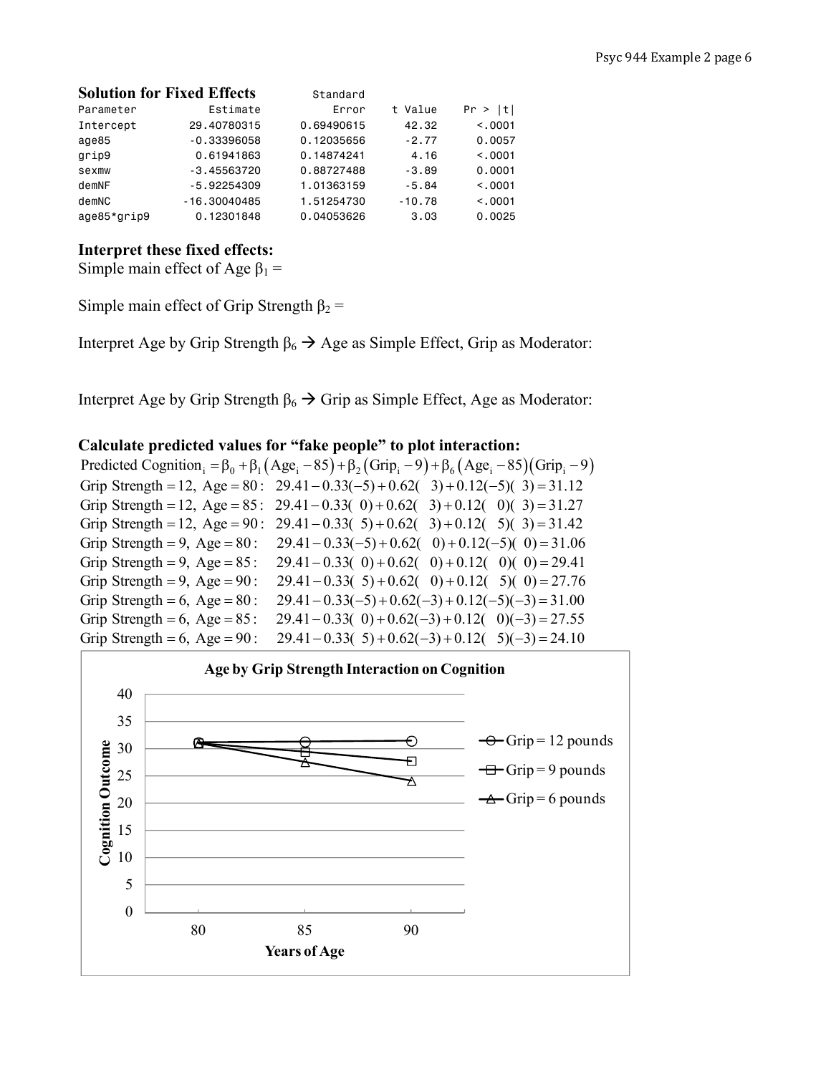|             | <b>Solution for Fixed Effects</b> | Standard   |          |          |
|-------------|-----------------------------------|------------|----------|----------|
| Parameter   | Estimate                          | Error      | t Value  | Pr >  t  |
| Intercept   | 29,40780315                       | 0.69490615 | 42.32    | < 0.0001 |
| age85       | $-0.33396058$                     | 0.12035656 | $-2.77$  | 0.0057   |
| grip9       | 0.61941863                        | 0.14874241 | 4.16     | < 0.001  |
| sexmw       | $-3.45563720$                     | 0.88727488 | $-3.89$  | 0.0001   |
| demNF       | $-5.92254309$                     | 1.01363159 | $-5.84$  | < 0.001  |
| demNC       | $-16.30040485$                    | 1.51254730 | $-10.78$ | < 0.001  |
| age85*grip9 | 0.12301848                        | 0.04053626 | 3.03     | 0.0025   |

# **Interpret these fixed effects:**

Simple main effect of Age  $\beta_1$  =

Simple main effect of Grip Strength  $\beta_2$  =

Interpret Age by Grip Strength  $\beta_6 \rightarrow \text{Age}$  as Simple Effect, Grip as Moderator:

Interpret Age by Grip Strength  $\beta_6 \rightarrow$  Grip as Simple Effect, Age as Moderator:

# **Calculate predicted values for "fake people" to plot interaction:**

Predicted Cognition<sub>i</sub> =  $\beta_0$  +  $\beta_1$  (Age<sub>i</sub> - 85) +  $\beta_2$  (Grip<sub>i</sub> - 9) +  $\beta_6$  (Age<sub>i</sub> - 85) (Grip<sub>i</sub> - 9) Grip Strength = 12, Age = 80 :  $29.41 - 0.33(-5) + 0.62(3) + 0.12(-5)(3) = 31.12$ Grip Strength = 12, Age =  $85$ :  $29.41 - 0.33(0) + 0.62(3) + 0.12(0)(3) = 31.27$ Grip Strength = 12, Age = 90: 29.41 - 0.33( 5) + 0.62( 3) + 0.12( 5)( 3) = 31.42 Grip Strength = 9, Age = 80 :  $29.41 - 0.33(-5) + 0.62(0) + 0.12(-5)(0) = 31.06$ Grip Strength = 9, Age =  $85$ :  $= 9$ , Age  $= 85$ : 29.41  $- 0.33(0) + 0.62(0) + 0.12(0)(0) = 29.41$ Grip Strength = 9, Age = 90 : 29.41 - 0.33( 5) + 0.62( 0) + 0.12( 5)( 0) = 27.76 Grip Strength = 6, Age = 80 :  $29.41 - 0.33(-5) + 0.62(-3) + 0.12(-5)(-3) = 31.00$ Grip Strength =  $6$ , Age =  $85$ : ength = 6, Age = 85: 29.41 - 0.33( 0) + 0.62(-3) + 0.12( 0)(-3) = 27.55 Grip Strength = 6, Age = 90 : 29.41 - 0.33( 5) + 0.62(-3) + 0.12( 5)(-3) = 24.10

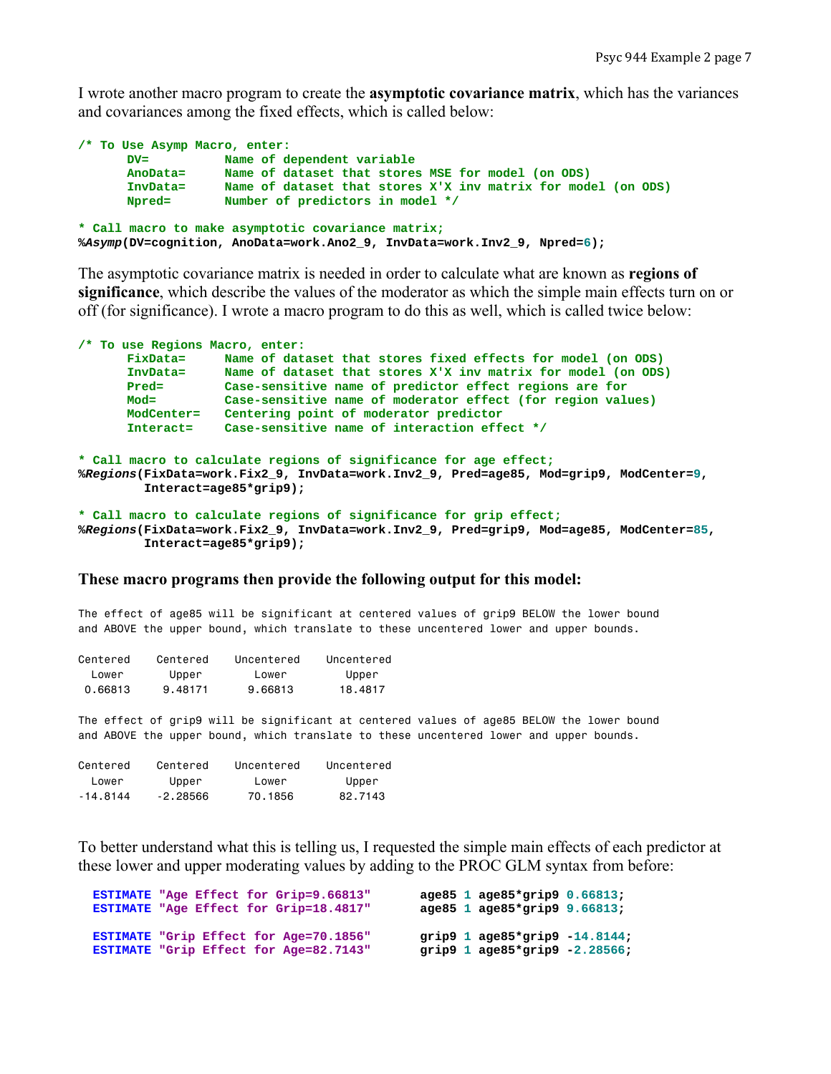I wrote another macro program to create the **asymptotic covariance matrix**, which has the variances and covariances among the fixed effects, which is called below:

```
/* To Use Asymp Macro, enter: 
       DV= Name of dependent variable 
       AnoData= Name of dataset that stores MSE for model (on ODS) 
       InvData= Name of dataset that stores X'X inv matrix for model (on ODS) 
       Npred= Number of predictors in model */ 
* Call macro to make asymptotic covariance matrix;
%Asymp(DV=cognition, AnoData=work.Ano2_9, InvData=work.Inv2_9, Npred=6);
```
The asymptotic covariance matrix is needed in order to calculate what are known as **regions of significance**, which describe the values of the moderator as which the simple main effects turn on or off (for significance). I wrote a macro program to do this as well, which is called twice below:

|              | /* To use Regions Macro, enter:                                                                                                                             |
|--------------|-------------------------------------------------------------------------------------------------------------------------------------------------------------|
| FixData=     | Name of dataset that stores fixed effects for model (on ODS)                                                                                                |
| InvData=     | Name of dataset that stores X'X inv matrix for model (on ODS)                                                                                               |
| Pred=        | Case-sensitive name of predictor effect regions are for                                                                                                     |
| $Mod =$      | Case-sensitive name of moderator effect (for region values)                                                                                                 |
| $ModCenter=$ | Centering point of moderator predictor                                                                                                                      |
| Interact=    | Case-sensitive name of interaction effect */                                                                                                                |
|              | * Call macro to calculate regions of significance for age effect;<br>%Regions(FixData=work.Fix2 9, InvData=work.Inv2 9, Pred=age85, Mod=grip9, ModCenter=9, |
|              | $Interact = age85*grip9$ ;                                                                                                                                  |

```
* Call macro to calculate regions of significance for grip effect;
%Regions(FixData=work.Fix2_9, InvData=work.Inv2_9, Pred=grip9, Mod=age85, ModCenter=85, 
          Interact=age85*grip9);
```
#### **These macro programs then provide the following output for this model:**

The effect of age85 will be significant at centered values of grip9 BELOW the lower bound and ABOVE the upper bound, which translate to these uncentered lower and upper bounds.

| Centered | Centered | Uncentered | Uncentered |
|----------|----------|------------|------------|
| lower    | Upper    | lower      | Upper      |
| 0.66813  | 9.48171  | 9.66813    | 18.4817    |

The effect of grip9 will be significant at centered values of age85 BELOW the lower bound and ABOVE the upper bound, which translate to these uncentered lower and upper bounds.

| Centered    | Centered   | Uncentered | Uncentered |
|-------------|------------|------------|------------|
| lower       | Upper      | lower      | Upper      |
| - 14 . 8144 | $-2.28566$ | 70.1856    | 82.7143    |

To better understand what this is telling us, I requested the simple main effects of each predictor at these lower and upper moderating values by adding to the PROC GLM syntax from before:

| ESTIMATE "Age Effect for Grip=9.66813" | age85 1 age85*grip9 0.66813;       |
|----------------------------------------|------------------------------------|
| ESTIMATE "Age Effect for Grip=18.4817" | age85 1 age85*grip9 9.66813;       |
| ESTIMATE "Grip Effect for Age=70.1856" | grip9 $1$ age85*grip9 $-14.8144$ ; |
| ESTIMATE "Grip Effect for Age=82.7143" | grip9 $1$ age85*grip9 -2.28566;    |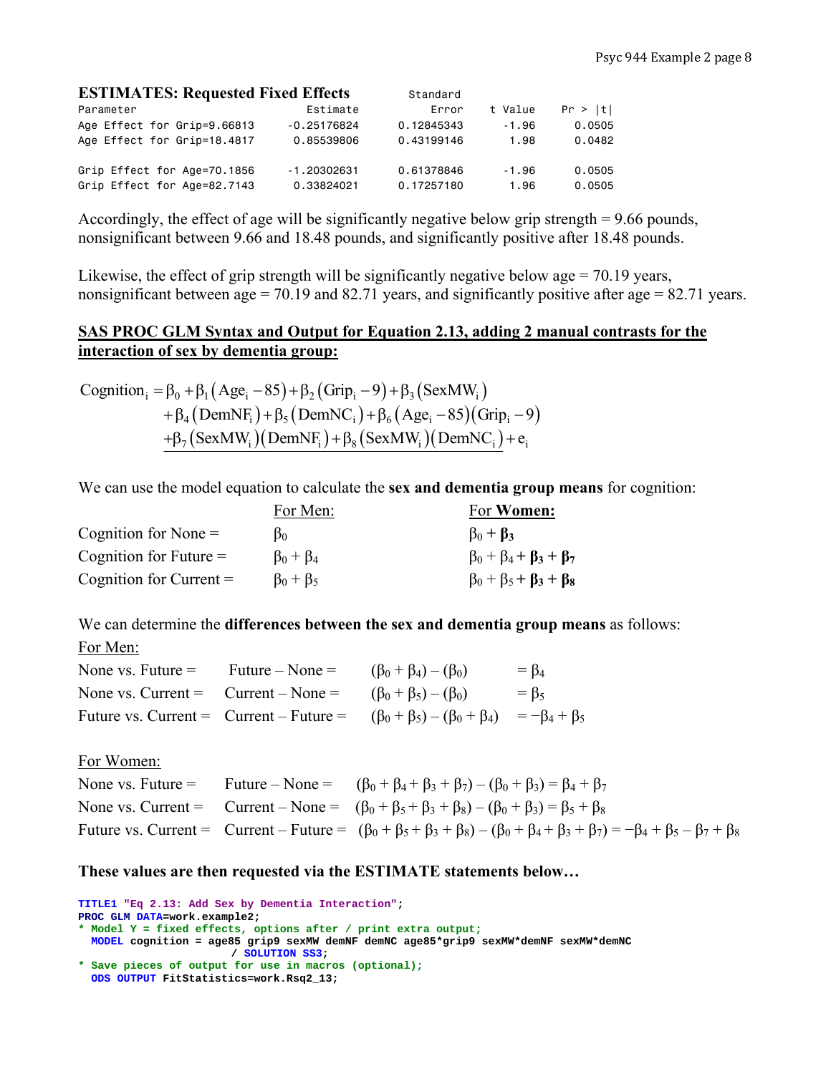| <b>ESTIMATES: Requested Fixed Effects</b> |               | Standard   |         |         |
|-------------------------------------------|---------------|------------|---------|---------|
| Parameter                                 | Estimate      | Error      | t Value | Pr >  t |
| Age Effect for Grip=9.66813               | $-0.25176824$ | 0.12845343 | $-1.96$ | 0.0505  |
| Age Effect for Grip=18.4817               | 0.85539806    | 0.43199146 | 1.98    | 0.0482  |
| Grip Effect for Age=70.1856               | $-1.20302631$ | 0.61378846 | $-1.96$ | 0.0505  |
| Grip Effect for Age=82.7143               | 0.33824021    | 0.17257180 | 1.96    | 0.0505  |

Accordingly, the effect of age will be significantly negative below grip strength = 9.66 pounds, nonsignificant between 9.66 and 18.48 pounds, and significantly positive after 18.48 pounds.

Likewise, the effect of grip strength will be significantly negative below age  $= 70.19$  years, nonsignificant between age = 70.19 and 82.71 years, and significantly positive after age =  $82.71$  years.

# **SAS PROC GLM Syntax and Output for Equation 2.13, adding 2 manual contrasts for the interaction of sex by dementia group:**

Cognition<sub>i</sub> =  $\beta_0 + \beta_1 (Age_i - 85) + \beta_2 (Grip_i - 9) + \beta_3 (SexMW_i)$  $+ \beta_4 (DemNF_i) + \beta_5 (DemNC_i) + \beta_6 (Age_i - 85) (Grip_i - 9)$  $+\beta_7 (SexMW_i)(DemNF_i)+\beta_8 (SexMW_i)(DemNC_i)+e_i$ 

We can use the model equation to calculate the **sex and dementia group means** for cognition:

|                           | For Men:            | For <b>Women:</b>                       |
|---------------------------|---------------------|-----------------------------------------|
| Cognition for None $=$    | B٥                  | $\beta_0 + \beta_3$                     |
| Cognition for Future $=$  | $\beta_0 + \beta_4$ | $\beta_0 + \beta_4 + \beta_3 + \beta_7$ |
| Cognition for Current $=$ | $\beta_0 + \beta_5$ | $\beta_0 + \beta_5 + \beta_3 + \beta_8$ |

We can determine the **differences between the sex and dementia group means** as follows: For Men:

| None vs. Future $=$                   | Future – None $=$ | $(\beta_0 + \beta_4) - (\beta_0)$                                                                        | $= \beta_4$ |
|---------------------------------------|-------------------|----------------------------------------------------------------------------------------------------------|-------------|
| None vs. Current = $Current - None =$ |                   | $(\beta_0 + \beta_5) - (\beta_0)$                                                                        | $= \beta_5$ |
|                                       |                   | Future vs. Current = Current - Future = $(\beta_0 + \beta_5) - (\beta_0 + \beta_4) = -\beta_4 + \beta_5$ |             |

For Women:

|  | None vs. Future = Future – None = $(\beta_0 + \beta_4 + \beta_3 + \beta_7) - (\beta_0 + \beta_3) = \beta_4 + \beta_7$                                                |
|--|----------------------------------------------------------------------------------------------------------------------------------------------------------------------|
|  | None vs. Current = Current – None = $(\beta_0 + \beta_5 + \beta_3 + \beta_8) - (\beta_0 + \beta_3) = \beta_5 + \beta_8$                                              |
|  | Future vs. Current = Current – Future = $(\beta_0 + \beta_5 + \beta_3 + \beta_8) - (\beta_0 + \beta_4 + \beta_3 + \beta_7) = -\beta_4 + \beta_5 - \beta_7 + \beta_8$ |

### **These values are then requested via the ESTIMATE statements below…**

**TITLE1 "Eq 2.13: Add Sex by Dementia Interaction"; PROC GLM DATA=work.example2; \* Model Y = fixed effects, options after / print extra output; MODEL cognition = age85 grip9 sexMW demNF demNC age85\*grip9 sexMW\*demNF sexMW\*demNC / SOLUTION SS3; \* Save pieces of output for use in macros (optional);**

**ODS OUTPUT FitStatistics=work.Rsq2\_13;**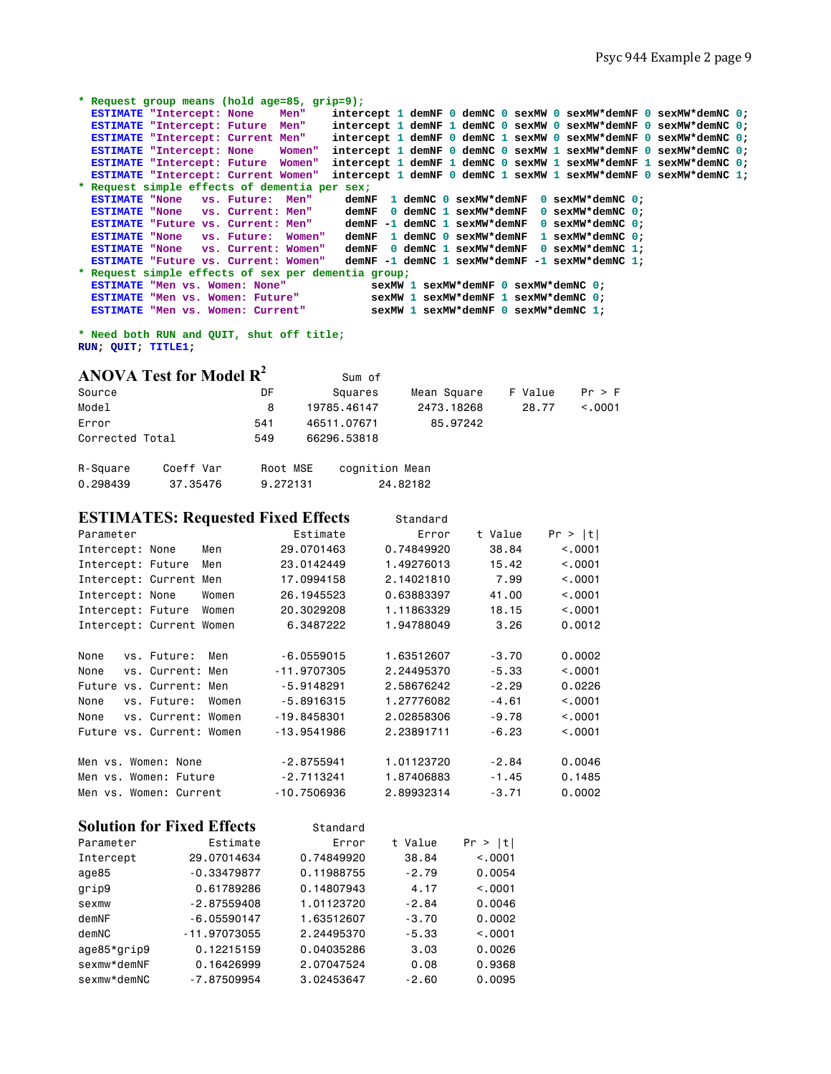```
* Request group means (hold age=85, grip=9);
  ESTIMATE "Intercept: None Men" intercept 1 demNF 0 demNC 0 sexMW 0 sexMW*demNF 0 sexMW*demNC 0;<br>ESTIMATE "Intercept: Future Men" intercept 1 demNF 1 demNC 0 sexMW 0 sexMW*demNF 0 sexMW*demNC 0;
                                           intercept 1 demNF 1 demNC 0 sexMW 0 sexMW*demNF 0 sexMW*demNC 0;
 ESTIMATE "Intercept: Current Men" intercept 1 demNF 0 demNC 1 sexMW 0 sexMW*demNF 0 sexMW*demNC 0; 
 ESTIMATE "Intercept: None Women" intercept 1 demNF 0 demNC 0 sexMW 1 sexMW*demNF 0 sexMW*demNC 0; 
  ESTIMATE "Intercept: Future Women" intercept 1 demNF 1 demNC 0 sexMW 1 sexMW*demNF 1 sexMW*demNC 0; 
  ESTIMATE "Intercept: Current Women" intercept 1 demNF 0 demNC 1 sexMW 1 sexMW*demNF 0 sexMW*demNC 1; 
* Request simple effects of dementia per sex;
 ESTIMATE "None vs. Future: Men" demNF 1 demNC 0 sexMW*demNF 0 sexMW*demNC 0; 
 ESTIMATE "None vs. Current: Men" demNF 0 demNC 1 sexMW*demNF 0 sexMW*demNC 0; 
 ESTIMATE "Future vs. Current: Men" demNF -1 demNC 1 sexMW*demNF 0 sexMW*demNC 0; 
 ESTIMATE "None vs. Future: Women" demNF 1 demNC 0 sexMW*demNF 1 sexMW*demNC 0; 
 ESTIMATE "None vs. Current: Women" demNF 0 demNC 1 sexMW*demNF 0 sexMW*demNC 1; 
   ESTIMATE "Future vs. Current: Women" demNF -1 demNC 1 sexMW*demNF -1 sexMW*demNC 1; 
* Request simple effects of sex per dementia group;
 ESTIMATE "Men vs. Women: None" sexMW<sup>*</sup>demNF 0 sexMW*demNC 0;<br>
ESTIMATE "Men vs. Women: Future" sexMW 1 sexMW*demNF 1 sexMW*demNC 0;
                                                 ESTIMATE "Men vs. Women: Future" sexMW 1 sexMW*demNF 1 sexMW*demNC 0; 
 ESTIMATE "Men vs. Women: Current"
```
**\* Need both RUN and QUIT, shut off title; RUN; QUIT; TITLE1;** 

|                 | ANOVA Test for Model $\mathbb{R}^2$ |          | Sum of         |             |         |         |
|-----------------|-------------------------------------|----------|----------------|-------------|---------|---------|
| Source          |                                     | DF       | Squares        | Mean Square | F Value | Pr > F  |
| Model           |                                     | 8        | 19785.46147    | 2473.18268  | 28.77   | < 0.001 |
| Error           |                                     | 541      | 46511.07671    | 85.97242    |         |         |
| Corrected Total |                                     | 549      | 66296.53818    |             |         |         |
| R-Square        | Coeff Var                           | Root MSE | cognition Mean |             |         |         |
| 0.298439        | 37.35476                            | 9.272131 |                | 24,82182    |         |         |

| <b>ESTIMATES: Requested Fixed Effects</b> |       |               | Standard   |         |         |
|-------------------------------------------|-------|---------------|------------|---------|---------|
| Parameter                                 |       | Estimate      | Error      | t Value | Pr >  t |
| Intercept: None                           | Men   | 29,0701463    | 0.74849920 | 38.84   | < 0.001 |
| Intercept: Future                         | Men   | 23,0142449    | 1.49276013 | 15.42   | < 0.001 |
| Intercept: Current Men                    |       | 17,0994158    | 2.14021810 | 7.99    | < 0.001 |
| Intercept: None                           | Women | 26, 1945523   | 0.63883397 | 41.00   | < 0.001 |
| Intercept: Future                         | Women | 20,3029208    | 1.11863329 | 18.15   | < 0.001 |
| Intercept: Current Women                  |       | 6.3487222     | 1.94788049 | 3.26    | 0.0012  |
|                                           |       |               |            |         |         |
| vs. Future:<br>None                       | Men   | $-6.0559015$  | 1.63512607 | $-3.70$ | 0.0002  |
| None<br>vs. Current: Men                  |       | $-11.9707305$ | 2.24495370 | $-5.33$ | < 0.001 |
| Future vs. Current: Men                   |       | $-5.9148291$  | 2.58676242 | $-2.29$ | 0.0226  |
| vs. Future:<br>None                       | Women | $-5.8916315$  | 1.27776082 | $-4.61$ | < 0.001 |
| None<br>vs. Current: Women                |       | $-19.8458301$ | 2.02858306 | $-9.78$ | < 0.001 |
| Future vs. Current: Women                 |       | $-13,9541986$ | 2.23891711 | $-6.23$ | < 0.001 |
|                                           |       |               |            |         |         |
| Men vs. Women: None                       |       | $-2.8755941$  | 1.01123720 | $-2.84$ | 0.0046  |
| Men vs. Women: Future                     |       | $-2.7113241$  | 1.87406883 | $-1.45$ | 0.1485  |
| Men vs. Women: Current                    |       | $-10.7506936$ | 2.89932314 | $-3.71$ | 0.0002  |

|             | <b>Solution for Fixed Effects</b> | Standard   |         |          |
|-------------|-----------------------------------|------------|---------|----------|
| Parameter   | Estimate                          | Error      | t Value | Pr >  t  |
| Intercept   | 29.07014634                       | 0.74849920 | 38.84   | < 0.0001 |
| age85       | $-0.33479877$                     | 0.11988755 | $-2.79$ | 0.0054   |
| grip9       | 0.61789286                        | 0.14807943 | 4.17    | < 0.001  |
| sexmw       | $-2.87559408$                     | 1.01123720 | $-2.84$ | 0.0046   |
| demNF       | $-6.05590147$                     | 1.63512607 | $-3.70$ | 0.0002   |
| demNC       | $-11.97073055$                    | 2.24495370 | $-5.33$ | < 0.001  |
| age85*grip9 | 0.12215159                        | 0.04035286 | 3.03    | 0.0026   |
| sexmw*demNF | 0.16426999                        | 2.07047524 | 0.08    | 0.9368   |
| sexmw*demNC | $-7.87509954$                     | 3.02453647 | $-2.60$ | 0.0095   |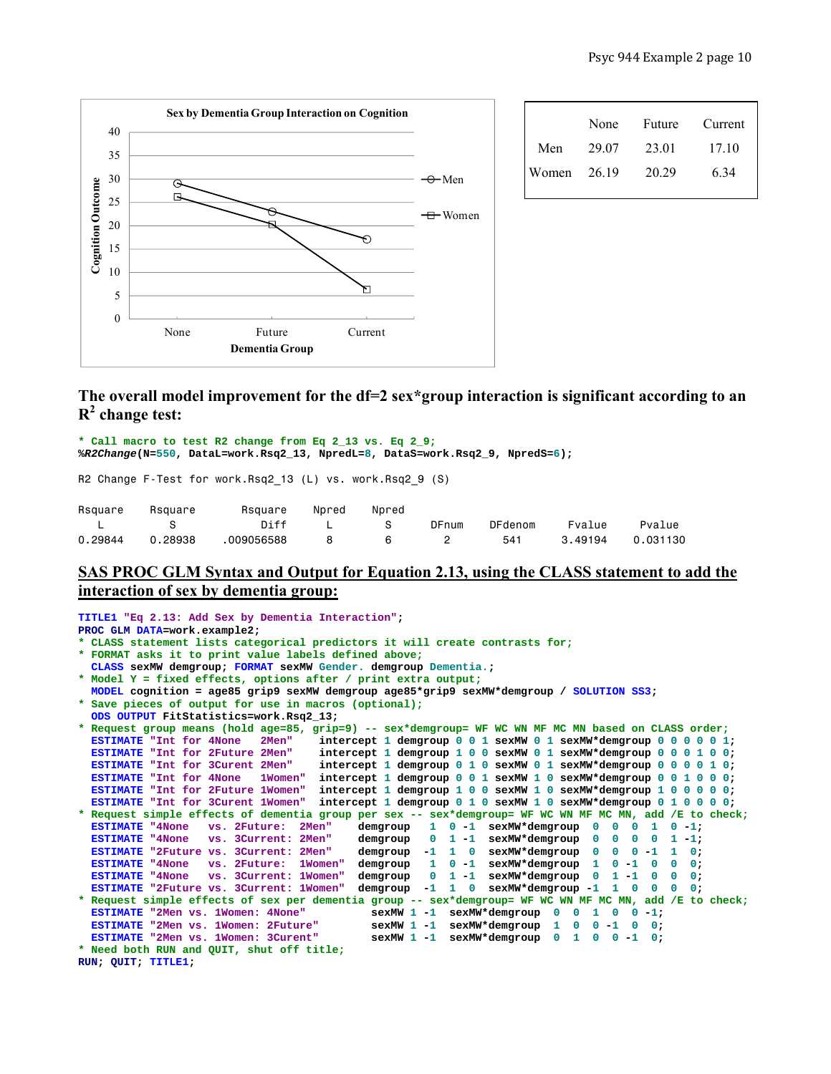

|             | None  | Future | Current |
|-------------|-------|--------|---------|
| Men         | 29.07 | 23.01  | 17 10   |
| Women 26.19 |       | 20 29  | 6.34    |

# **The overall model improvement for the df=2 sex\*group interaction is significant according to an R2 change test:**

**\* Call macro to test R2 change from Eq 2\_13 vs. Eq 2\_9; %***R2Change***(N=550, DataL=work.Rsq2\_13, NpredL=8, DataS=work.Rsq2\_9, NpredS=6);** 

R2 Change F-Test for work.Rsq2 13 (L) vs. work.Rsq2 9 (S)

| Rsquare | Rsquare | Rsquare    | Npred | Npred |       |         |         |          |
|---------|---------|------------|-------|-------|-------|---------|---------|----------|
|         |         | Diff       |       | S.    | DFnum | DFdenom | Fvalue  | Pvalue   |
| 0.29844 | 0.28938 | .009056588 |       | - 6   |       | 541     | 3.49194 | 0.031130 |

# **SAS PROC GLM Syntax and Output for Equation 2.13, using the CLASS statement to add the interaction of sex by dementia group:**

```
TITLE1 "Eq 2.13: Add Sex by Dementia Interaction"; 
PROC GLM DATA=work.example2; 
* CLASS statement lists categorical predictors it will create contrasts for;
* FORMAT asks it to print value labels defined above;
   CLASS sexMW demgroup; FORMAT sexMW Gender. demgroup Dementia.; 
* Model Y = fixed effects, options after / print extra output;
  MODEL cognition = age85 grip9 sexMW demgroup age85*grip9 sexMW*demgroup / SOLUTION SS3; 
* Save pieces of output for use in macros (optional);
   ODS OUTPUT FitStatistics=work.Rsq2_13; 
* Request group means (hold age=85, grip=9) -- sex*demgroup= WF WC WN MF MC MN based on CLASS order;
   ESTIMATE "Int for 4None 2Men" intercept 1 demgroup 0 0 1 sexMW 0 1 sexMW*demgroup 0 0 0 0 0 1; 
                                         ESTIMATE "Int for 2Future 2Men" intercept 1 demgroup 1 0 0 sexMW 0 1 sexMW*demgroup 0 0 0 1 0 0; 
   ESTIMATE "Int for 3Curent 2Men" intercept 1 demgroup 0 1 0 sexMW 0 1 sexMW*demgroup 0 0 0 0 1 0; 
   ESTIMATE "Int for 4None 1Women" intercept 1 demgroup 0 0 1 sexMW 1 0 sexMW*demgroup 0 0 1 0 0 0; 
   ESTIMATE "Int for 2Future 1Women" intercept 1 demgroup 1 0 0 sexMW 1 0 sexMW*demgroup 1 0 0 0 0 0; 
                                       \text{intercept 1 demgroup 0 1 0 sexMW 1 0 sexMW*demgroup 0 1 0 0;* Request simple effects of dementia group per sex -- sex*demgroup= WF WC WN MF MC MN, add /E to check;
                                                         1 0 -1 sexMW*demgroup 0 0 0 1 0 -1;
   ESTIMATE "4None vs. 3Current: 2Men" demgroup 0 1 -1 sexMW*demgroup 0 0 0 0 1 -1; 
  ESTIMATE "2Future vs. 3Current: 2Men" demgroup -1 1 0 sexMW*demgroup 0 0 0 -1 1 0;<br>ESTIMATE "4None vs. 2Future: 1Women" demgroup 1 0 -1 sexMW*demgroup 1 0 -1 0 0 0;
   ESTIMATE "4None vs. 2Future: 1Women" demgroup 1 0 -1 sexMW*demgroup 1 0 -1 0 0 0; 
   ESTIMATE "4None vs. 3Current: 1Women" demgroup 0 1 -1 sexMW*demgroup 0 1 -1 0 0 0; 
   ESTIMATE "2Future vs. 3Current: 1Women" demgroup -1 1 0 sexMW*demgroup -1 1 0 0 0 0; 
* Request simple effects of sex per dementia group -- sex*demgroup= WF WC WN MF MC MN, add /E to check;
 ESTIMATE "2Men vs. 1Women: 4None" sexMW 1 -1 sexMW*demgroup 0 0 1 0 0 -1;<br><b>ESTIMATE "2Men vs. 1Women: 2Future" sexMW 1 -1 sexMW*demgroup 1 0 0 -1 0 0;
  ESTIMATE "2Men vs. 1Women: 2Future" sexMW 1 -1 sexMW*demgroup 1 0 0 -1 0 0;<br>ESTIMATE "2Men vs. 1Women: 3Curent" sexMW 1 -1 sexMW*demgroup 0 1 0 0 -1 0;
                                                 SexMW 1 -1 sexMW*demgroup 0 1 0 0 -1 0;
* Need both RUN and QUIT, shut off title;
RUN; QUIT; TITLE1;
```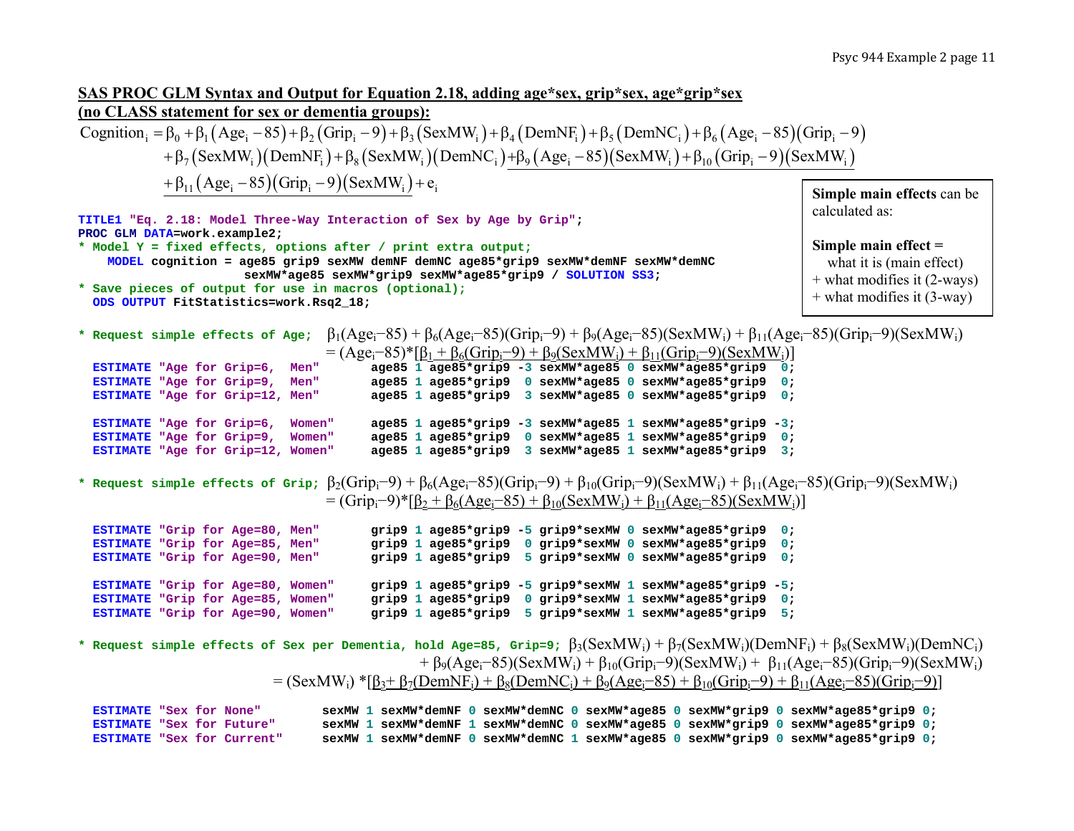# **SAS PROC GLM Syntax and Output for Equation 2.18, adding age\*sex, grip\*sex, age\*grip\*sex (no CLASS statement for sex or dementia groups):**

Cognition<sub>i</sub> =  $\beta_0$  +  $\beta_1$ (Age<sub>i</sub> - 85) +  $\beta_2$ (Grip<sub>i</sub> - 9) +  $\beta_3$ (SexMW<sub>i</sub>) +  $\beta_4$ (DemNF<sub>i</sub>) +  $\beta_5$ (DemNC<sub>i</sub>) +  $\beta_6$ (Age<sub>i</sub> - 85)(Grip<sub>i</sub> - 9)  $+ \beta_7 (SexMW_i)(DemNF_i)+\beta_8 (SexMW_i)(DemNC_i)+\beta_9 (Age_i-85)(SexMW_i)+\beta_{10} (Grip_i-9)(SexMW_i)$  $+ \beta_{11} (Age_i - 85) (Grip_i - 9) (SexMW_i) + e_i$ **Simple main effects** can be

**TITLE1 "Eq. 2.18: Model Three-Way Interaction of Sex by Age by Grip"; PROC GLM DATA=work.example2; \* Model Y = fixed effects, options after / print extra output; MODEL cognition = age85 grip9 sexMW demNF demNC age85\*grip9 sexMW\*demNF sexMW\*demNC sexMW\*age85 sexMW\*grip9 sexMW\*age85\*grip9 / SOLUTION SS3; \* Save pieces of output for use in macros (optional); ODS OUTPUT FitStatistics=work.Rsq2\_18;**  calculated as: **Simple main effect =**  what it is (main effect) + what modifies it (2-ways) + what modifies it (3-way)

**\* Request simple effects of Age;**  $B_1(Age_i-85) + B_6(Age_i-85)(Grip_i-9) + B_9(Age_i-85)(SexMW_i) + B_{11}(Age_i-85)(Grip_i-9)(SexMW_i)$  $=(\Delta \rho e^{-85})$ \*[β<sub>1</sub> + β<sub>ε</sub>(Gripi−9) + β<sub>2</sub>(SexMWi) + β<sub>11</sub>(Grip-9)(SexMWi)]

| $=$ (AgC <sub>1</sub> 02) [p] + p6(OHp <sub>1</sub> 2) + p9(SCANTW <sub>1</sub> ) + p[[(OHp <sub>1</sub> 2)(SCANTW <sub>1</sub> )] |
|------------------------------------------------------------------------------------------------------------------------------------|
| $a$ qe85 1 aqe85*qrip9 -3 sexMW*aqe85 0 sexMW*aqe85*qrip9 0;                                                                       |
| $a$ qe85 1 aqe85*qrip9 0 sexMW*aqe85 0 sexMW*aqe85*qrip9 0;                                                                        |
| $a$ qe85 1 aqe85*qrip9 3 sexMW*aqe85 0 sexMW*aqe85*qrip9 0;                                                                        |
|                                                                                                                                    |
| $a$ qe85 1 aqe85*qrip9 -3 sexMW*aqe85 1 sexMW*aqe85*qrip9 -3;                                                                      |
| age85 1 age85*grip9 0 sexMW*age85 1 sexMW*age85*grip9 0;                                                                           |
| $a$ qe85 1 aqe85*qrip9 3 sexMW*aqe85 1 sexMW*aqe85*qrip9 3;                                                                        |
| <b>Men"</b><br><b>Men"</b><br>ESTIMATE "Age for Grip=12, Men"<br>Women"<br>Women"<br>ESTIMATE "Age for Grip=12, Women"             |

**\* Request simple effects of Grip;**  $β_2(Grip_i-9) + β_6(Age_i-85)(Grip_i-9) + β_{10}(Grip_i-9)(SexMW_i) + β_{11}(Age_i-85)(Grip_i-9)(SexMW_i)$  $=$  (Grip<sub>i</sub>–9)\*[β<sub>2</sub> + β<sub>6</sub>(Age<sub>i</sub>–85) + β<sub>10</sub>(SexMW<sub>i</sub>) + β<sub>11</sub>(Age<sub>i</sub>–85)(SexMW<sub>i</sub>)]

| ESTIMATE "Grip for Age=80, Men"   |  |  |  |  |  | grip9 1 age85*grip9 -5 grip9*sexMW 0 sexMW*age85*grip9 0;  |  |
|-----------------------------------|--|--|--|--|--|------------------------------------------------------------|--|
| ESTIMATE "Grip for Age=85, Men"   |  |  |  |  |  | grip9 1 age85*grip9 0 grip9*sexMW 0 sexMW*age85*grip9 0;   |  |
| ESTIMATE "Grip for Age=90, Men"   |  |  |  |  |  | grip9 1 age85*grip9 5 grip9*sexMW 0 sexMW*age85*grip9 0;   |  |
|                                   |  |  |  |  |  |                                                            |  |
|                                   |  |  |  |  |  |                                                            |  |
| ESTIMATE "Grip for Age=80, Women" |  |  |  |  |  | grip9 1 age85*grip9 -5 grip9*sexMW 1 sexMW*age85*grip9 -5; |  |
| ESTIMATE "Grip for Age=85, Women" |  |  |  |  |  | grip9 1 age85*grip9 0 grip9*sexMW 1 sexMW*age85*grip9 0;   |  |

**\*** Request simple effects of Sex per Dementia, hold Age=85, Grip=9;  $\beta_3(SexMW_i) + \beta_7(SexMW_i)(DemNF_i) + \beta_8(SexMW_i)(DemNC_i)$  $+β<sub>9</sub>(Age<sub>i</sub>−85)(SexMW<sub>i</sub>) + β<sub>10</sub>(Grip<sub>i</sub>−9)(SexMW<sub>i</sub>) + β<sub>11</sub>(Age<sub>i</sub>−85)(Grip<sub>i</sub>−9)(SexMW<sub>i</sub>)$  $=$  (SexMW<sub>i</sub>) \* $\beta_3 + \beta_7(DemNF_i) + \beta_8(DemNC_i) + \beta_9(Age_i-85) + \beta_{10}(Grip_i-9) + \beta_{11}(Age_i-85)(Grip_i-9)$ ]

**ESTIMATE "Sex for None" sexMW 1 sexMW\*demNF 0 sexMW\*demNC 0 sexMW\*age85 0 sexMW\*grip9 0 sexMW\*age85\*grip9 0; ESTIMATE "Sex for Future" sexMW 1 sexMW\*demNF 1 sexMW\*demNC 0 sexMW\*age85 0 sexMW\*grip9 0 sexMW\*age85\*grip9 0; ESTIMATE"Sex for Current" sexMW 1 sexMW\*demNF 0 sexMW\*demNC 1 sexMW\*age85 0 sexMW\*grip9 0 sexMW\*age85\*grip9 0;**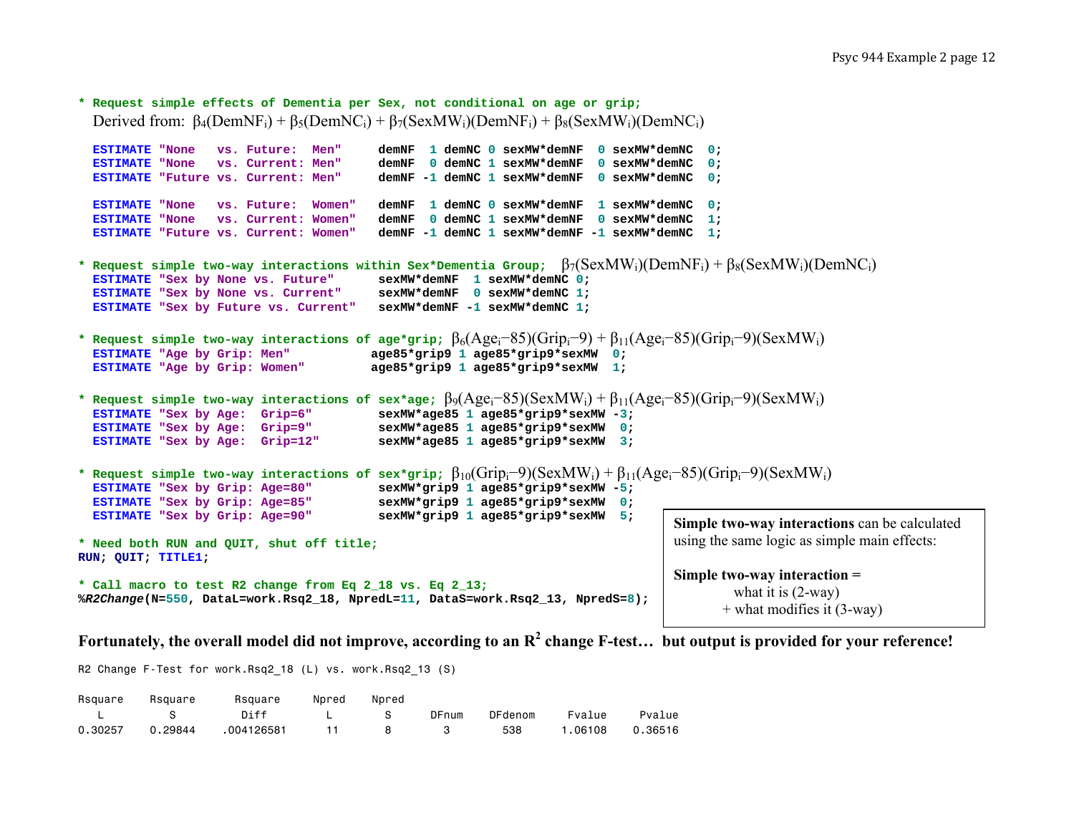```
* Request simple effects of Dementia per Sex, not conditional on age or grip; 
  Derived from: \beta_4(DemNF_i) + \beta_5(DemNC_i) + \beta_7(SexMW_i)(DemNF_i) + \beta_8(SexMW_i)(DemNC_i)ESTIMATE "None vs. Future: Men"
                                             demNF 1 demNC 0 sexMW*demNF 0 sexMW*demNC 0;
  ESTIMATE "None vs. Current: Men"
                                             demNF 0 demNC 1 sexMW*demNF 0 sexMW*demNC 0;
  ESTIMATE "Future vs. Current: Men"
                                             demNF -1 demNC 1 sexMW*demNF 0 sexMW*demNC 0:
  ESTIMATE "None vs. Future: Women"
                                             demNF 1 demNC 0 sexMW*demNF 1 sexMW*demNC 0;
  ESTIMATE "None vs. Current: Women"
                                             demNF 0 demNC 1 sexMW*demNF 0 sexMW*demNC 1;
  ESTIMATE "Future vs. Current: Women"
                                             demNF -1 demNC 1 sexMW*demNF -1 sexMW*demNC 1;
* Request simple two-way interactions within Sex*Dementia Group; \beta_7({\rm SexMW_i})({\rm DemNF_i}) + \beta_8({\rm SexMW_i})({\rm DemNC_i})ESTIMATE "Sex by None vs. Future"
                                             sexMW*demNF 1 sexMW*demNC 0:
  ESTIMATE "Sex by None vs. Current" sexMW*demNF 0 sexMW*demNC 1; 
  ESTIMATE "Sex by Future vs. Current" sexMW*demNF -1 sexMW*demNC 1; 
* Request simple two-way interactions of age*grip; \beta_6({\rm Age}_{\rm i}-85)({\rm Grip}_{\rm i}-9) + \beta_{11}({\rm Age}_{\rm i}-85)({\rm Grip}_{\rm i}-9)({\rm SexMW}_{\rm i})ESTIMATE "Age by Grip: Men"
                                             "Age by Grip: Men" age85*grip9 1 age85*grip9*sexMW 0; 
  ESTIMATE "Age by Grip: Women"
                                             "Age by Grip: Women" age85*grip9 1 age85*grip9*sexMW 1; 
* Request simple two-way interactions of sex*age; \beta9(Age<sub>i</sub>-85)(SexMW<sub>i</sub>)+β<sub>11</sub>(Age<sub>i</sub>-85)(Grip<sub>i</sub>-9)(SexMW<sub>i</sub>)
  ESTIMATE "Sex by Age: Grip=6"
                                             sexMW*age85 1 age85*grip9*sexMW -3;
  ESTIMATE "Sex by Age: Grip=9"
                                             sexMW*age85 1 age85*grip9*sexMW 0;
  ESTIMATE "Sex by Age: Grip=12"
                                             sexMW*age85 1 age85*grip9*sexMW 3;
* Request simple two-way interactions of sex*grip; 
β10(Gripi−9)(SexMWi) + 
β11(Agei−85)(Gripi−9)(SexMWi) 
  ESTIMATE "Sex by Grip: Age=80"
                                             sexMW*grip9 1 age85*grip9*sexMW -5;
  ESTIMATE "Sex by Grip: Age=85"
                                             sexMW*grip9 1 age85*grip9*sexMW 0;
  ESTIMATE "Sex by Grip: Age=90"
                                             sexMW*grip9 1 age85*grip9*sexMW 5;
* Need both RUN and QUIT, shut off title;
RUN; QUIT; TITLE1; 
* Call macro to test R2 change from Eq 2_18 vs. Eq 2_13;
%R2Change(N=550, DataL=work.Rsq2_18, NpredL=11, DataS=work.Rsq2_13, NpredS=8); 
                                                                                           Simple two-way interactions can be calculated 
                                                                                           using the same logic as simple main effects: 
                                                                                           Simple two-way interaction = 
                                                                                                     what it is (2-way) 
                                                                                                   + what modifies it (3-way)
```
**Fortunately, the overall model did not improve, according to an R2 change F-test… but output is provided for your reference!**

R2 Change F-Test for work.Rsq2 18 (L) vs. work.Rsq2 13 (S)

| Rsquare | Rsquare                                     | Rsquare Npred Npred |                    |       |         |         |         |
|---------|---------------------------------------------|---------------------|--------------------|-------|---------|---------|---------|
|         | $\blacksquare$ in the set of $\blacksquare$ | Diff                | $\blacksquare$ . S | DFnum | DFdenom | Fvalue  | Pvalue  |
| 0.30257 | 0.29844                                     | .004126581          | 11 8 3             |       | 538     | 1.06108 | 0.36516 |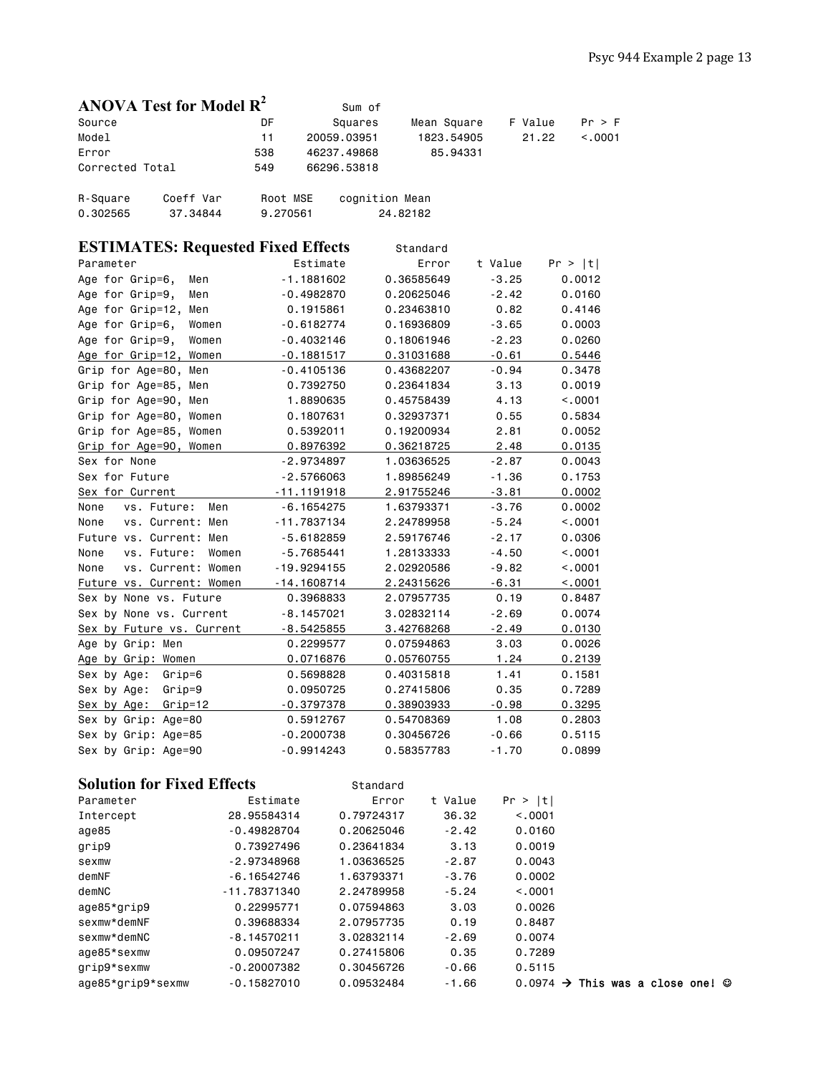|                      | ANOVA Test for Model $\mathbb{R}^2$ |                      | Sum of         |             |         |         |
|----------------------|-------------------------------------|----------------------|----------------|-------------|---------|---------|
| Source               |                                     | DF                   | Squares        | Mean Square | F Value | Pr > F  |
| Model                |                                     | 11                   | 20059.03951    | 1823.54905  | 21.22   | < 0.001 |
| Error                |                                     | 538                  | 46237.49868    | 85.94331    |         |         |
| Corrected Total      |                                     | 549                  | 66296.53818    |             |         |         |
| R-Square<br>0.302565 | Coeff Var<br>37.34844               | Root MSE<br>9.270561 | cognition Mean | 24.82182    |         |         |

| <b>ESTIMATES: Requested Fixed Effects</b> |               | Standard   |         |         |
|-------------------------------------------|---------------|------------|---------|---------|
| Parameter                                 | Estimate      | Error      | t Value | Pr >  t |
| Age for Grip=6,<br>Men                    | $-1.1881602$  | 0.36585649 | $-3.25$ | 0.0012  |
| Age for Grip=9,<br>Men                    | $-0.4982870$  | 0.20625046 | $-2.42$ | 0.0160  |
| Age for Grip=12,<br>Men                   | 0.1915861     | 0.23463810 | 0.82    | 0.4146  |
| Age for Grip=6,<br>Women                  | $-0.6182774$  | 0.16936809 | $-3.65$ | 0.0003  |
| Age for Grip=9,<br>Women                  | $-0.4032146$  | 0.18061946 | $-2.23$ | 0.0260  |
| Age for Grip=12, Women                    | $-0.1881517$  | 0.31031688 | $-0.61$ | 0.5446  |
| Grip for Age=80, Men                      | $-0.4105136$  | 0.43682207 | $-0.94$ | 0.3478  |
| Grip for Age=85, Men                      | 0.7392750     | 0.23641834 | 3.13    | 0.0019  |
| Grip for Age=90, Men                      | 1.8890635     | 0.45758439 | 4.13    | < .0001 |
| Grip for Age=80, Women                    | 0.1807631     | 0.32937371 | 0.55    | 0.5834  |
| Grip for Age=85, Women                    | 0.5392011     | 0.19200934 | 2.81    | 0.0052  |
| Grip for Age=90, Women                    | 0.8976392     | 0.36218725 | 2.48    | 0.0135  |
| Sex for None                              | $-2.9734897$  | 1.03636525 | $-2.87$ | 0.0043  |
| Sex for Future                            | $-2.5766063$  | 1.89856249 | $-1.36$ | 0.1753  |
| Sex for Current                           | $-11.1191918$ | 2.91755246 | $-3.81$ | 0.0002  |
| None<br>vs. Future:<br>Men                | $-6.1654275$  | 1.63793371 | $-3.76$ | 0.0002  |
| None<br>vs. Current: Men                  | $-11.7837134$ | 2.24789958 | $-5.24$ | < .0001 |
| Future vs. Current: Men                   | $-5.6182859$  | 2.59176746 | $-2.17$ | 0.0306  |
| vs. Future:<br>None<br>Women              | $-5.7685441$  | 1.28133333 | $-4.50$ | < .0001 |
| None<br>vs. Current: Women                | $-19.9294155$ | 2.02920586 | $-9.82$ | < .0001 |
| Future vs. Current: Women                 | $-14.1608714$ | 2.24315626 | $-6.31$ | < .0001 |
| Sex by None vs. Future                    | 0.3968833     | 2.07957735 | 0.19    | 0.8487  |
| Sex by None vs. Current                   | $-8.1457021$  | 3.02832114 | $-2.69$ | 0.0074  |
| Sex by Future vs. Current                 | $-8.5425855$  | 3.42768268 | $-2.49$ | 0.0130  |
| Age by Grip: Men                          | 0.2299577     | 0.07594863 | 3.03    | 0.0026  |
| Age by Grip: Women                        | 0.0716876     | 0.05760755 | 1.24    | 0.2139  |
| Sex by Age:<br>Grip=6                     | 0.5698828     | 0.40315818 | 1.41    | 0.1581  |
| Sex by Age:<br>$Grip=9$                   | 0.0950725     | 0.27415806 | 0.35    | 0.7289  |
| $Grip=12$<br>Sex by Age:                  | $-0.3797378$  | 0.38903933 | $-0.98$ | 0.3295  |
| Sex by Grip: Age=80                       | 0.5912767     | 0.54708369 | 1.08    | 0.2803  |
| Sex by Grip: Age=85                       | $-0.2000738$  | 0.30456726 | $-0.66$ | 0.5115  |
| Sex by Grip: Age=90                       | $-0.9914243$  | 0.58357783 | $-1.70$ | 0.0899  |

# **Solution for Fixed Effects** Standard

| Parameter         | Estimate      | Error      | t Value | Pr >  t  |                                             |  |  |
|-------------------|---------------|------------|---------|----------|---------------------------------------------|--|--|
| Intercept         | 28,95584314   | 0.79724317 | 36.32   | < 0.0001 |                                             |  |  |
| age85             | $-0.49828704$ | 0.20625046 | $-2.42$ | 0.0160   |                                             |  |  |
| grip9             | 0.73927496    | 0.23641834 | 3.13    | 0.0019   |                                             |  |  |
| sexmw             | $-2.97348968$ | 1.03636525 | $-2.87$ | 0.0043   |                                             |  |  |
| demNF             | $-6.16542746$ | 1.63793371 | $-3.76$ | 0.0002   |                                             |  |  |
| demNC             | -11.78371340  | 2.24789958 | $-5.24$ | < 0.0001 |                                             |  |  |
| age85*grip9       | 0.22995771    | 0.07594863 | 3.03    | 0.0026   |                                             |  |  |
| sexmw*demNF       | 0.39688334    | 2.07957735 | 0.19    | 0.8487   |                                             |  |  |
| sexmw*demNC       | $-8.14570211$ | 3.02832114 | $-2.69$ | 0.0074   |                                             |  |  |
| age85*sexmw       | 0.09507247    | 0.27415806 | 0.35    | 0.7289   |                                             |  |  |
| grip9*sexmw       | $-0.20007382$ | 0.30456726 | $-0.66$ | 0.5115   |                                             |  |  |
| age85*grip9*sexmw | $-0.15827010$ | 0.09532484 | $-1.66$ | 0.0974   | $\rightarrow$ This was a close one! $\odot$ |  |  |
|                   |               |            |         |          |                                             |  |  |